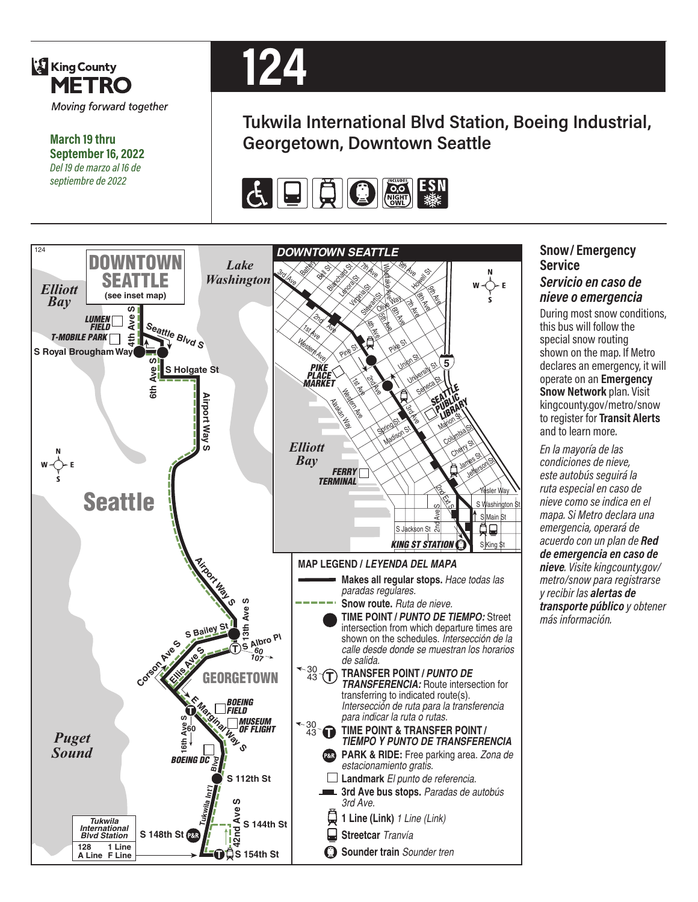

**March 19 thru September 16, 2022** *Del 19 de marzo al 16 de septiembre de 2022*



# **Tukwila International Blvd Station, Boeing Industrial, Georgetown, Downtown Seattle**





#### **Snow/ Emergency Service**  *Servicio en caso de nieve o emergencia*

During most snow conditions, this bus will follow the special snow routing shown on the map. If Metro declares an emergency, it will operate on an **Emergency Snow Network** plan. Visit kingcounty.gov/metro/snow to register for **Transit Alerts** and to learn more.

*En la mayoría de las condiciones de nieve, este autobús seguirá la ruta especial en caso de nieve como se indica en el mapa. Si Metro declara una emergencia, operará de acuerdo con un plan de Red de emergencia en caso de nieve. Visite kingcounty.gov/ metro/snow para registrarse y recibir las alertas de transporte público y obtener más información.*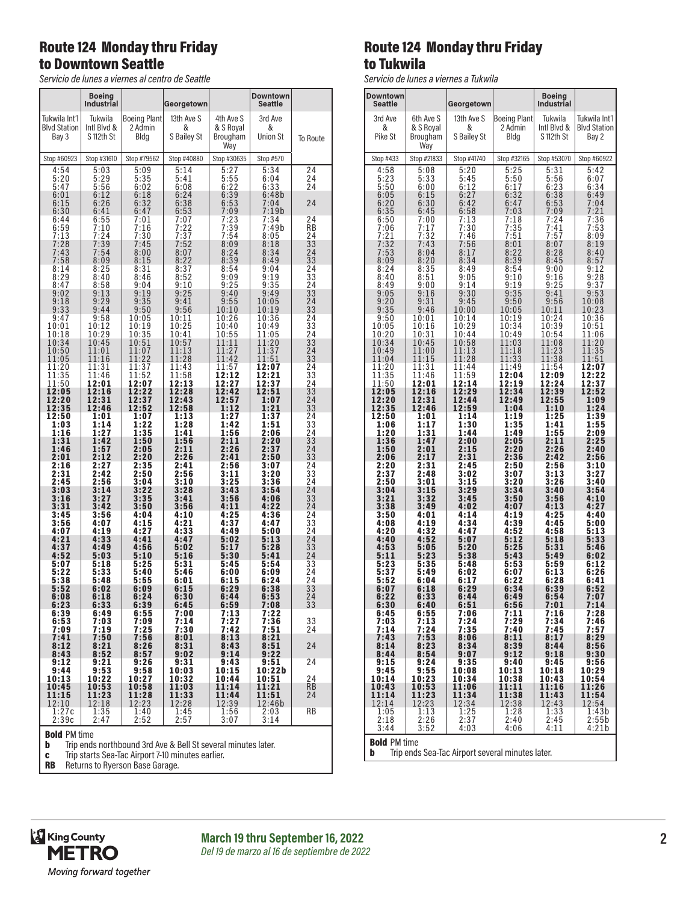## Route 124 Monday thru Friday to Downtown Seattle

*Servicio de lunes a viernes al centro de Seattle*

|                                               | <b>Boeing</b><br><b>Industrial</b>   |                                        | Georgetown                     |                                           | <b>Downtown</b><br>Seattle      |                                                     |
|-----------------------------------------------|--------------------------------------|----------------------------------------|--------------------------------|-------------------------------------------|---------------------------------|-----------------------------------------------------|
| Tukwila Int'l<br><b>Blvd Station</b><br>Bay 3 | Tukwila<br>Intl Blvd &<br>S 112th St | <b>Boeing Plant</b><br>2 Admin<br>Bldg | 13th Ave S<br>&<br>S Bailey St | 4th Ave S<br>& S Royal<br>Brougham<br>Way | 3rd Ave<br>&<br><b>Union St</b> | To Route                                            |
| Stop #60923                                   | Stop #31610                          | Stop #79562                            | Stop #40880                    | Stop #30635                               | Stop #570                       |                                                     |
| 4:54<br>5:20<br>5:47<br>6:01                  | 5:03<br>5:29<br>5:56<br>6:12         | 5:09<br>5:35<br>6:02<br>6:18           | 5:14<br>5:41<br>6:08<br>6:24   | 5:27<br>$5:55$<br>$6:22$<br>6:39          | 5:34<br>6:04<br>6:33<br>6:48b   | 24<br>24<br>$\bar{2}\overline{4}$                   |
| 6:15<br>6:30<br>6:44                          | 6:26<br>6:41<br>6:55                 | 6:32<br>6:47<br>7:01                   | 6:38<br>6:53<br>7:07           | 6:53<br>7:09<br>7:23                      | 7:04<br>7:19b<br>7:34           | 24<br>24                                            |
| 6:59                                          | 7:10                                 | 7:16                                   | 7:22                           | 7:39                                      | 7:49b                           | ĀB                                                  |
| 7:13                                          | 7:24                                 | 7:30                                   | 7:37                           | 7:54                                      | 8:05                            | 24                                                  |
| 7:28                                          | 7:39                                 | 7:45                                   | 7:52                           | 8:09                                      | 8:18                            | 33                                                  |
| 7:43                                          | 7:54                                 | 8:00                                   | 8:07                           | 8:24                                      | 8:34                            | 24                                                  |
| 7:58                                          | 8:09                                 | 8:15                                   | 8:22                           | 8:39                                      | 8:49                            | 33                                                  |
| 8:14                                          | 8:25                                 | 8:31                                   | 8:37                           | 8:54                                      | 9:04                            | 24                                                  |
| 8:29                                          | 8:40                                 | 8:46                                   | 8:52                           | 9:09                                      | 9:19                            | 33                                                  |
| 8:47                                          | 8:58                                 | 9:04                                   | 9:10                           | 9:25                                      | 9:35                            | 24                                                  |
| 9:02<br>9:18<br>9:33                          | 9:13<br>9:29<br>9:44                 | 9:19<br>9:35<br>9:50                   | 9:25<br>9:41<br>9:56           | 9:40<br>$9:55$<br>10:10                   | 9:49<br>10:05<br>10:19          | 33<br>24<br>$\bar{3}\dot{3}$                        |
| 9:47                                          | 9:58                                 | 10:05                                  | 10:11                          | 10:26                                     | 10:36                           | 24                                                  |
| 10:01                                         | 10:12                                | 10:19                                  | 10:25                          | 10:40                                     | 10:49                           | 33                                                  |
| 10:18                                         | 10:29                                | 10:35                                  | 10:41                          | 10:55                                     | 11:05                           | 24                                                  |
| 10:34                                         | 10:45                                | 10:51                                  | 10:57                          | 11:11                                     | 11:20                           | 33                                                  |
| 10:50                                         | 11:01                                | 11:07                                  | 11:13                          | 11:27                                     | 11:37                           | 24                                                  |
| 11:05                                         | 11:16                                | 11:22                                  | 11:28                          | 11:42                                     | 11:51                           | 33                                                  |
| 11:20                                         | 11:31                                | 11:37                                  | 11:43                          | 11:57                                     | 12:07                           | 24                                                  |
| 11:35                                         | 11:46                                | 11:52                                  | 11:58                          | 12:12                                     | 12:21                           | 33                                                  |
| 11:50                                         | 12:01                                | 12:07                                  | 12:13                          | 12:27                                     | 12:37                           | 24                                                  |
| 12:05                                         | 12:16                                | 12:22                                  | 12:28                          | 12:42                                     | 12:51                           | $\bar{3}\dot{3}$                                    |
| 12:20                                         | 12:31                                | 12:37                                  | 12:43                          | 12:57                                     | 1:07                            | 24                                                  |
| 12:35                                         | 12:46                                | 12:52                                  | 12:58                          | 1:12                                      | 1:21                            | 33                                                  |
| 12:50                                         | 1:01                                 | 1:07                                   | 1:13                           | 1:27                                      | 1:37                            | 24                                                  |
| 1:03                                          | 1:14                                 | 1:22                                   | 1:28                           | 1:42                                      | 1:51                            | 33                                                  |
| 1:16                                          | 1:27                                 | 1:35                                   | 1:41                           | 1:56                                      | 2:06                            | $^{24}$                                             |
| 1:31                                          | 1:42                                 | 1:50                                   | 1:56                           | 2:11                                      | 2:20                            | 33                                                  |
| 1:46                                          | 1:57                                 | 2:05                                   | 2:11                           | 2:26                                      | 2:37                            | 24                                                  |
| 2:01                                          | 2:12                                 | 2:20                                   | 2:26                           | 2:41                                      | 2:50                            | 33                                                  |
| 2:16                                          | 2:27                                 | 2:35                                   | 2:41                           | 2:56                                      | 3:07                            | 24                                                  |
| 2:31                                          | 2:42                                 | 2:50                                   | 2:56                           | 3:11                                      | 3:20                            | $\bar{3}\dot{3}$                                    |
| 2:45                                          | 2:56                                 | 3:04                                   | 3:10                           | 3:25                                      | 3:36                            | 24                                                  |
| 3:03<br>3:16<br>3:31                          | $3:14$<br>$3:27$<br>3:42             | 3:22<br>3:35<br>3:50                   | 3:28<br>3:41<br>3:56           | 3:43<br>3:56<br>4:11                      | 3:54<br>4:06<br>4:22            | 24<br>$\overline{3}3$<br>24                         |
| 3:45                                          | 3:56                                 | 4:04                                   | 4:10                           | 4:25                                      | 4:36                            | 24                                                  |
| 3:56                                          | 4:07                                 | 4:15                                   | 4:21                           | 4:37                                      | 4:47                            | 33                                                  |
| 4:07                                          | 4:19                                 | 4:27                                   | 4:33                           | 4:49                                      | 5:00                            | 24                                                  |
| 4:21                                          | 4:33                                 | 4:41                                   | 4:47                           | 5:02                                      | 5:13                            | 24                                                  |
| 4:37                                          | 4:49                                 | 4:56                                   | 5:02                           | 5:17                                      | 5:28                            | 33                                                  |
| 4:52                                          | 5:03                                 | 5:10                                   | 5:16                           | 5:30                                      | 5:41                            | 24                                                  |
| 5:07                                          | 5:18                                 | 5:25                                   | 5:31                           | 5:45                                      | 5:54                            | 33                                                  |
| 5:22                                          | 5:33                                 | 5:40                                   | 5:46                           | 6:00                                      | 6:09                            | 24                                                  |
| 5:38                                          | 5:48                                 | 5:55                                   | 6:01                           | 6:15                                      | 6:24                            | $\overline{2}4$                                     |
| 5:52                                          | 6:02                                 | 6:09                                   | 6:15                           | 6:29                                      | 6:38                            | 33                                                  |
| 6:08                                          | 6:18                                 | 6:24                                   | 6:30                           | 6:44                                      | 6:53                            | $\overline{2}$ <sup><math>\overline{4}</math></sup> |
| 6:23                                          | 6:33                                 | 6:39                                   | 6:45                           | 6:59                                      | 7:08                            | 33                                                  |
| 6:39<br>6:53<br>7:09                          | 6:49<br>7:03<br>7:19                 | 6:55<br>7:09<br>7:25                   | 7:00<br>7:14<br>7:30           | 7:13<br>7:27<br>7:42                      | 7:22<br>7:36<br>7:51            | 33<br>24                                            |
| 7:41                                          | 7:50                                 | 7:56                                   | 8:01                           | 8:13                                      | 8:21                            | 24                                                  |
| 8:12                                          | 8:21                                 | 8:26                                   | 8:31                           | 8:43                                      | 8:51                            |                                                     |
| 8:43                                          | 8:52                                 | $8:57$<br>9:26                         | 9:02                           | 9:14                                      | 9:22                            |                                                     |
| 9:12<br>9:44<br>10:13                         | 9:21<br>$9:53$<br>10:22              | 9:58<br>10:27                          | 9:31<br>10:03<br>10:32         | 9:43<br>10:15<br>10:44                    | 9:51<br>10:22b<br>10:51         | 24<br>24                                            |
| 10:45<br>11:15<br>12:10                       | 10:53<br>$11:23$<br>$12:18$          | 10:58<br>11:28<br>12:23                | 11:03<br>11:33<br>12:28        | 11:14<br>11:44<br>12:39                   | 11:21<br>11:51<br>12:46b        | <b>RB</b><br>24                                     |
| 1:27c<br>2:39c                                | $1:35$<br>2:47                       | $\frac{1:40}{2:52}$                    | $\frac{1:45}{2:57}$            | $\frac{1:56}{3:07}$                       | 2:03<br>3:14                    | RB                                                  |

**Bold** PM time<br>**b** Trip ends

Trip ends northbound 3rd Ave & Bell St several minutes later.

**c** Trip starts Sea-Tac Airport 7-10 minutes earlier.

RB Returns to Ryerson Base Garage.

## Route 124 Monday thru Friday to Tukwila

*Servicio de lunes a viernes a Tukwila*

| <b>Downtown</b>                                       |                     |              |                     | <b>Boeing</b>              |                     |  |
|-------------------------------------------------------|---------------------|--------------|---------------------|----------------------------|---------------------|--|
| <b>Seattle</b>                                        |                     | Georgetown   |                     | <b>Industrial</b>          |                     |  |
| 3rd Ave                                               | 6th Ave S           | 13th Ave S   | <b>Boeing Plant</b> | Tukwila                    | Tukwila Int'l       |  |
| &                                                     | & S Royal           | &            | 2 Admin             | Intl Blvd &                | <b>Blvd Station</b> |  |
| Pike St                                               | Brougham            | S Bailey St  | Bldg                | S 112th St                 | Bay 2               |  |
| Stop #433                                             | Way<br>Stop #21833  | Stop #41740  | Stop #32165         | Stop #53070                | Stop #60922         |  |
| 4:58                                                  | 5:08                | 5:20         | 5:25                | 5:31                       | 5:42                |  |
| 5:23<br>5:50                                          | 5:33<br>6:00        | 5:45<br>6:12 | $\frac{5:50}{6:17}$ | $5:56$<br>$6:23$<br>$6:38$ | 6:07<br>6:34        |  |
| 6:05                                                  | 6:15                | 6:27         | 6:32                | 6:53                       | 6:49                |  |
| 6:20                                                  | 6:30                | 6:42         | 6:47                |                            | 7:04                |  |
| 6:35                                                  | 6:45                | 6:58         | 7:03                | 7:09                       | 7:21                |  |
|                                                       | 7:00                | 7:13         | 7:18                | 7:24                       | 7:36                |  |
| $6:50$<br>7:06<br>7:21                                | 7:17<br>7:32        | 7:30<br>7:46 | 7:35<br>7:51        | 7:41<br>7:57               | 7:53<br>8:09        |  |
| 7:32                                                  | 7:43                | 7:56         | 8:01                | 8:07                       | 8:19                |  |
| 7:53                                                  | 8:04                | 8:17         | 8:22                | 8:28                       | 8:40                |  |
| 8:09                                                  | 8:20                | 8:34         | 8:39                | 8:45                       | 8:57                |  |
| 8:24                                                  | 8:35                | 8:49         | 8:54                | 9:00                       | 9:12                |  |
| 8:40                                                  | 8:51                | 9:05         | 9:10                | 9:16                       | 9:28                |  |
| 8:49                                                  | 9:00                | 9:14         | 9:19                | 9:25                       | 9:37                |  |
| 9:05                                                  | 9:16                | 9:30         | 9:35                | 9:41                       | 9:53                |  |
| 9:20                                                  | 9:31                | 9:45         | 9:50                | 9:56                       | 10:08               |  |
| 9:35                                                  | 9:46                | 10:00        | 10:05               | 10:11                      | 10:23               |  |
| 9:50                                                  | 10:01               | 10:14        | 10:19               | 10:24                      | 10:36               |  |
| 10:05                                                 | 10:16               | 10:29        | 10:34               | 10:39                      | 10:51               |  |
| 10:20                                                 | 10:31               | 10:44        | 10:49               | 10:54                      | 11:06               |  |
| 10:34                                                 | 10:45               | 10:58        | 11:03               | 11:08                      | 11:20               |  |
| 10:49                                                 | 11:00               | 11:13        | 11:18               | 11:23                      | 11:35               |  |
| 11:04                                                 | 11:15               | 11:28        | 11:33               | 11:38                      | 11:51               |  |
| 11:20                                                 | 11:31               | 11:44        | 11:49               | 11:54                      | 12:07               |  |
| 11:35                                                 | 11:46               | 11:59        | 12:04               | 12:09                      | 12:22               |  |
| 11:50                                                 | 12:01               | 12:14        | 12:19               | 12:24                      | 12:37               |  |
| 12:05                                                 | 12:16               | 12:29        | 12:34               | 12:39                      | 12:52               |  |
| 12:20                                                 | 12:31               | 12:44        | 12:49               | 12:55                      | 1:09                |  |
| 12:35                                                 | 12:46               | 12:59        | 1:04                | 1:10                       | 1:24                |  |
| 12:50                                                 | 1:01                | 1:14         | 1:19                | 1:25                       | 1:39                |  |
| 1:06                                                  | 1:17                | 1:30         | 1:35                | 1:41                       | 1:55                |  |
| 1:20                                                  | 1:31                | 1:44         | 1:49                | 1:55                       | 2:09                |  |
| 1:36                                                  | 1:47                | 2:00         | 2:05                | 2:11                       | 2:25                |  |
| 1:50                                                  | 2:01                | 2:15         | 2:20                | 2:26                       | 2:40                |  |
| 2:06                                                  | 2:17                | 2:31         | 2:36                | 2:42                       | 2:56                |  |
| 2:20                                                  | 2:31                | 2:45         | 2:50                | 2:56                       | 3:10                |  |
| 2:37                                                  | 2:48                | 3:02         | 3:07                | 3:13                       | 3:27                |  |
| 2:50                                                  | 3:01                | 3:15         | 3:20                | 3:26                       | 3:40                |  |
| 3:04<br>3:21                                          | 3:15                | 3:29         | 3:34<br>3:50        | 3:40<br>3:56               | 3:54                |  |
| 3:38                                                  | 3:32<br>3:49        | 3:45<br>4:02 | 4:07                | 4:13                       | 4:10<br>4:27        |  |
| 3:50                                                  | 4:01                | 4:14         | 4:19                | 4:25                       | 4:40                |  |
| 4:08                                                  | 4:19                | 4:34         | 4:39                | 4:45                       | 5:00                |  |
| 4:20                                                  | 4:32                | 4:47         | 4:52                | 4:58                       | 5:13                |  |
| 4:40                                                  | 4:52                | 5:07         | 5:12                | 5:18                       | 5:33                |  |
| 4:53                                                  | 5:05                | 5:20         | 5:25                | 5:31                       | 5:46                |  |
| 5:11                                                  | 5:23                | 5:38         | 5:43                | 5:49                       | 6:02                |  |
| 5:23                                                  | 5:35                | 5:48         | 5:53                | 5:59                       | 6:12                |  |
| 5:37                                                  | 5:49                | 6:02         | 6:07                | 6:13                       | 6:26                |  |
| 5:52                                                  | 6:04                | 6:17         | 6:22                | 6:28                       | 6:41                |  |
| 6:07                                                  | 6:18                | 6:29         | 6:34                | 6:39                       | 6:52                |  |
| 6:22                                                  | 6:33                | 6:44         | 6:49                | 6:54                       | 7:07                |  |
| 6:30                                                  | 6:40                | 6:51         | 6:56                | 7:01                       | 7:14                |  |
| 6:45                                                  | 6:55                | 7:06         | 7:11                | 7:16                       | 7:28                |  |
| 7:03                                                  | 7:13                | 7:24         | 7:29                | 7:34                       | 7:46                |  |
| 7:14                                                  | 7:24                | 7:35         | 7:40                | 7:45                       | 7:57                |  |
| 7:43                                                  | 7:53                | 8:06         | 8:11                | 8:17                       | 8:29                |  |
| 8:14                                                  | 8:23                | 8:34         | 8:39                | 8:44                       | 8:56                |  |
| 8:44                                                  | 8:54                | 9:07         | 9:12                | 9:18                       | 9:30                |  |
| 9:15                                                  | 9:24                | 9:35         | 9:40                | 9:45                       | 9:56                |  |
| 9:45                                                  | 9:55                | 10:08        | 10:13               | 10:18                      | 10:29               |  |
| 10:14                                                 | 10:23               | 10:34        | 10:38               | 10:43                      | 10:54               |  |
| 10:43                                                 | 10:53               | 11:06        | 11:11               | 11:16                      | 11:26               |  |
| 11:14                                                 | 11:23               | 11:34        | 11:38               | 11:43                      | 11:54               |  |
| 12:14<br>1:05                                         | 12:23               | 12:34        | 12:38<br>1:28       | 12:43                      | 12:54<br>1:43b      |  |
| 2:18                                                  | $\frac{1:13}{2:26}$ | 1:25<br>2:37 | $\bar{2}:40$        | $\frac{1:33}{2:45}$        | 2:55b               |  |
| 3:44                                                  | 3:52                | 4:03         | 4:06                | 4:11                       | 4:21 b              |  |
| <b>Bold PM time</b>                                   |                     |              |                     |                            |                     |  |
| b<br>Trip ends Sea-Tac Airport several minutes later. |                     |              |                     |                            |                     |  |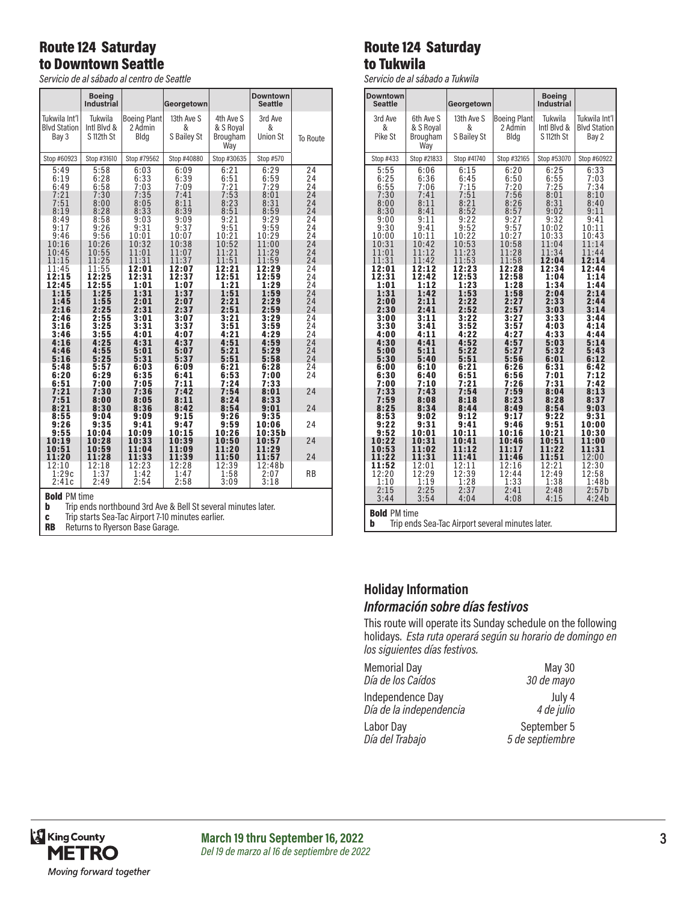## Route 124 Saturday to Downtown Seattle

*Servicio de al sábado al centro de Seattle*

|                                                                                           | <b>Boeing</b><br>Industrial          |                                        | Georgetown                           |                                             | <b>Downtown</b><br><b>Seattle</b>    |                            |  |
|-------------------------------------------------------------------------------------------|--------------------------------------|----------------------------------------|--------------------------------------|---------------------------------------------|--------------------------------------|----------------------------|--|
| Tukwila Int'l<br><b>Blvd Station</b><br>Bay 3                                             | Tukwila<br>Intl Blvd &<br>S 112th St | <b>Boeing Plant</b><br>2 Admin<br>Bldg | 13th Ave S<br>&<br>S Bailey St       | 4th Ave S<br>& S Royal<br>Brougham<br>Way   | 3rd Ave<br>&<br><b>Union St</b>      | To Route                   |  |
| Stop #60923                                                                               | Stop #31610                          | Stop #79562                            | Stop #40880                          | Stop #30635                                 | Stop #570                            |                            |  |
| 5:49<br>6:19<br>6:49<br>7:21<br>7:51                                                      | 5:58<br>6:28<br>6:58<br>7:30<br>8:00 | 6:03<br>6:33<br>7:03<br>7:35<br>8:05   | 6:09<br>6:39<br>7:09<br>7:41<br>8:11 | 6:21<br>$\frac{6:51}{7:21}$<br>7:53<br>8:23 | 6:29<br>6:59<br>7:29<br>8:01<br>8:31 | 24<br>24<br>24<br>24<br>24 |  |
| 8:19                                                                                      | 8:28                                 | 8:33                                   | 8:39                                 | 8:51                                        | 8:59                                 | 24                         |  |
| 8:49                                                                                      | 8:58                                 | 9:03                                   | 9:09                                 | 9:21                                        | 9:29                                 | 24                         |  |
| 9:17                                                                                      | 9:26                                 | 9:31                                   | 9:37                                 | 9:51                                        | 9:59                                 | 24                         |  |
| 9:46                                                                                      | 9:56                                 | 10:01                                  | 10:07                                | 10:21                                       | 10:29                                | 24                         |  |
| 10:16                                                                                     | 10:26                                | 10:32                                  | 10:38                                | 10:52                                       | 11:00                                | 24                         |  |
| 10:45                                                                                     | 10:55                                | 11:01                                  | 11:07                                | 11:21                                       | 11:29                                | 24                         |  |
| 11:15                                                                                     | 11:25                                | 11:31                                  | 11:37                                | 11:51                                       | 11:59                                | 24                         |  |
| 11:45                                                                                     | 11:55                                | 12:01                                  | 12:07                                | 12:21                                       | 12:29                                | 24                         |  |
| 12:15                                                                                     | 12:25                                | 12:31                                  | 12:37                                | 12:51                                       | 12:59                                | 24                         |  |
| 12:45                                                                                     | 12:55                                | 1:01                                   | 1:07                                 | 1:21                                        | 1:29                                 | 24                         |  |
| 1:15                                                                                      | 1:25                                 | 1:31                                   | 1:37                                 | 1:51                                        | 1:59                                 | 24                         |  |
| 1:45                                                                                      | 1:55                                 | 2:01                                   | 2:07                                 | 2:21                                        | 2:29                                 | 24                         |  |
| 2:16                                                                                      | 2:25                                 | 2:31                                   | 2:37                                 | 2:51                                        | 2:59                                 | 24                         |  |
| 2:46                                                                                      | 2:55                                 | 3:01                                   | 3:07                                 | 3:21                                        | 3:29                                 | 24                         |  |
| 3:16                                                                                      | 3:25                                 | 3:31                                   | 3:37                                 | 3:51                                        | 3:59                                 | 24                         |  |
| 3:46                                                                                      | 3:55                                 | 4:01                                   | 4:07                                 | 4:21                                        | 4:29                                 | 24                         |  |
| 4:16                                                                                      | 4:25                                 | 4:31                                   | 4:37                                 | 4:51                                        | 4:59                                 | 24                         |  |
| 4:46                                                                                      | 4:55                                 | 5:01                                   | 5:07                                 | 5:21                                        | 5:29                                 | 24                         |  |
| 5:16                                                                                      | 5:25                                 | 5:31                                   | 5:37                                 | 5:51                                        | 5:58                                 | 24                         |  |
| 5:48                                                                                      | 5:57                                 | 6:03                                   | 6:09                                 | 6:21                                        | 6:28                                 | 24                         |  |
| 6:20                                                                                      | 6:29                                 | 6:35                                   | 6:41                                 | 6:53                                        | 7:00                                 | 24                         |  |
| 6:51                                                                                      | 7:00                                 | 7:05                                   | 7:11                                 | 7:24                                        | 7:33                                 | 24                         |  |
| 7:21                                                                                      | 7:30                                 | 7:36                                   | 7:42                                 | 7:54                                        | 8:01                                 |                            |  |
| 7:51                                                                                      | 8:00                                 | 8:05                                   | 8:11                                 | 8:24                                        | 8:33                                 |                            |  |
| 8:21<br>8:55<br>9:26<br>9:55                                                              | 8:30<br>9:04<br>9:35<br>10:04        | 8:36<br>9:09<br>9:41<br>10:09          | 8:42<br>9:15<br>9:47<br>10:15        | 8:54<br>9:26<br>9:59<br>10:26               | 9:01<br>9:35<br>10:06<br>10:35b      | 24<br>24                   |  |
| 10:19<br>10:51<br>11:20                                                                   | 10:28<br>10:59<br>11:28              | 10:33<br>11:04<br>11:33                | 10:39<br>11:09<br>11:39              | 10:50<br>11:20<br>11:50                     | 10:57<br>11:29<br>11:57              | 24<br>24                   |  |
| 12:10                                                                                     | 12:18                                | 12:23                                  | 12:28                                | 12:39                                       | 12:48b                               | <b>RB</b>                  |  |
| 1:29c                                                                                     | 1:37                                 | 1:42                                   | 1:47                                 | 1:58                                        | 2:07                                 |                            |  |
| 2:41c                                                                                     | 2:49                                 | 2:54                                   | 2:58                                 | 3:09                                        | 3:18                                 |                            |  |
| <b>Bold PM time</b><br>b<br>Trip ends northbound 3rd Ave & Bell St several minutes later. |                                      |                                        |                                      |                                             |                                      |                            |  |

**c** Trip starts Sea-Tac Airport 7-10 minutes earlier.

RB Returns to Ryerson Base Garage.

#### Route 124 Saturday to Tukwila

*Servicio de al sábado a Tukwila*

| <b>Downtown</b><br><b>Seattle</b> |                 | Georgetown     |                     | <b>Boeing</b><br>Industrial |                     |  |
|-----------------------------------|-----------------|----------------|---------------------|-----------------------------|---------------------|--|
| 3rd Ave                           | 6th Ave S       | 13th Ave S     | <b>Boeing Plant</b> | Tukwila                     | Tukwila Int'l       |  |
| &<br>Pike St                      | & S Royal       | &              | 2 Admin             | Intl Blyd &                 | <b>Blvd Station</b> |  |
|                                   | Brougham<br>Way | S Bailey St    | Blda                | S 112th St                  | Bay 2               |  |
|                                   | Stop #21833     |                |                     |                             |                     |  |
| Stop #433                         |                 | Stop #41740    | Stop #32165         | Stop #53070                 | Stop #60922         |  |
| 5:55<br>6:25                      | 6:06<br>6:36    | 6:15<br>6:45   | 6:20<br>6:50        | 6:25<br>6:55                | 6:33<br>7:03        |  |
| 6:55                              | 7:06            | 7:15           | 7:20                | 7:25                        | 7:34                |  |
| 7:30                              | 7:41            | $7:51$<br>8:21 | 7:56                | 8:01                        | 8:10                |  |
| 8:00<br>8:30                      | 8:11<br>8:41    | 8:52           | 8:26<br>8:57        | 8:31<br>9:02                | 8:40<br>9:11        |  |
| 9:00                              | 9:11            | 9:22           | 9:27                | 9:32                        | 9:41                |  |
| 9:30                              | 9:41            | 9:52           | 9:57                | 10:02                       | 10:11               |  |
| 10:00<br>10:31                    | 10:11<br>10:42  | 10:22<br>10:53 | 10:27<br>10:58      | 10:33<br>11:04              | 10:43<br>11:14      |  |
| 11:01                             | 11:12           | 11:23          | 11:28               | 11:34                       | 11:44               |  |
| 11:31                             | 11:42<br>12:12  | 11:53          | 11:58               | 12:04                       | 12:14<br>12:44      |  |
| 12:01<br>12:31                    | 12:42           | 12:23<br>12:53 | 12:28<br>12:58      | 12:34<br>1:04               | 1:14                |  |
| 1:01                              | 1:12            | 1:23           | 1:28                | 1:34                        | 1:44                |  |
| 1:31<br>2:00                      | 1:42<br>2:11    | 1:53<br>2:22   | 1:58<br>2:27        | 2:04<br>2:33                | 2:14<br>2:44        |  |
| 2:30                              | 2:41            | 2:52           | 2:57                | 3:03                        | 3:14                |  |
| 3:00                              | 3:11            | 3:22           | 3:27                | 3:33                        | 3:44                |  |
| 3:30<br>4:00                      | 3:41<br>4:11    | 3:52<br>4:22   | 3:57<br>4:27        | 4:03<br>4:33                | 4:14<br>4:44        |  |
| 4:30                              | 4:41            | 4:52           | 4:57                | 5:03                        | 5:14                |  |
| 5:00<br>5:30                      | 5:11<br>5:40    | 5:22<br>5:51   | 5:27<br>5:56        | 5:32<br>6:01                | 5:43<br>6:12        |  |
| 6:00                              | 6:10            | 6:21           | 6:26                | 6:31                        | 6:42                |  |
| 6:30                              | 6:40            | 6:51           | 6:56                | 7:01                        | 7:12                |  |
| 7:00<br>7:33                      | 7:10<br>7:43    | 7:21<br>7:54   | 7:26<br>7:59        | 7:31<br>8:04                | 7:42<br>8:13        |  |
| 7:59                              | 8:08            | 8:18           | 8:23                | 8:28                        | 8:37                |  |
| 8:25                              | 8:34            | 8:44           | 8:49                | 8:54                        | 9:03                |  |
| 8:53<br>9:22                      | 9:02<br>9:31    | 9:12<br>9:41   | 9:17<br>9:46        | 9:22<br>9:51                | 9:31<br>10:00       |  |
| 9:52                              | 10:01           | 10:11          | 10:16               | 10:21                       | 10:30               |  |
| 10:22<br>10:53                    | 10:31<br>11:02  | 10:41<br>11:12 | 10:46<br>11:17      | 10:51<br>11:22              | 11:00<br>11:31      |  |
| 11:22                             | 11:31           | 11:41          | 11:46               | 11:51                       | 12:00               |  |
| 11:52                             | 12:01           | 12:11          | 12:16               | 12:21                       | 12:30               |  |
| 12:20<br>1:10                     | 12:29<br>1:19   | 12:39<br>1:28  | 12:44<br>1:33       | 12:49<br>1:38               | 12:58<br>1:48b      |  |
| 2:15                              | 2:25            | 2:37           | 2:41                | 2:48                        | 2:57b               |  |
| 3:44                              | 3:54            | 4:04           | 4:08                | 4:15                        | 4:24b               |  |
| <b>Bold PM time</b>               |                 |                |                     |                             |                     |  |

**b** Trip ends Sea-Tac Airport several minutes later.

#### **Holiday Information** *Información sobre días festivos*

This route will operate its Sunday schedule on the following holidays. *Esta ruta operará según su horario de domingo en los siguientes días festivos.*

| <b>Memorial Day</b>     | <b>May 30</b>   |
|-------------------------|-----------------|
| Día de los Caídos       | 30 de mayo      |
| Independence Day        | July 4          |
| Día de la independencia | 4 de julio      |
| Labor Day               | September 5     |
| Día del Trabajo         | 5 de septiembre |

**March 19 thru September 16, 2022 3** *Del 19 de marzo al 16 de septiembre de 2022*